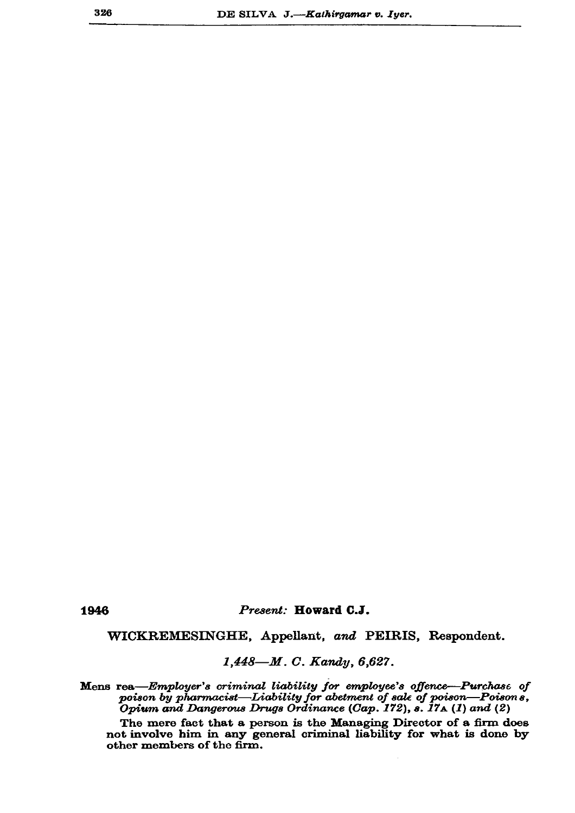1946

## Present: Howard C.J.

WICKREMESINGHE, Appellant, and PEIRIS, Respondent.

1,448-M. C. Kandy, 6,627.

Mens rea-Employer's criminal liability for employee's offence-Purchase of poison by pharmacist—Liability for abetment of sale of poison—Poisons,<br>Opium and Dangerous Drugs Ordinance (Cap. 172), s. 17A (1) and (2)

The mere fact that a person is the Managing Director of a firm does not involve him in any general criminal liability for what is done by other members of the firm.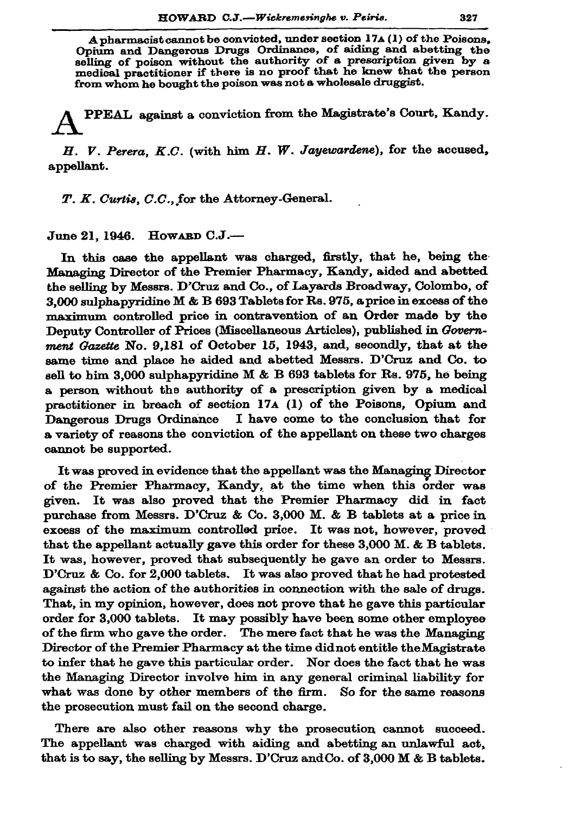A pharmacist cannot be convicted, under section 17A (1) of the Poisons. Opium and Dangerous Drugs Ordinance, of aiding and abetting the belling of poison without the authority of a prescription given by a medical practitioner if there is no proof that he knew that the person from whom he bought the poison was not a wholesale druggist.

PPEAL against a conviction from the Magistrate's Court, Kandy.

H. V. Perera, K.C. (with him H. W. Jayewardene), for the accused, appellant.

T. K. Curtis, C.C., for the Attorney-General.

June 21, 1946. Howard C.J.-

In this case the appellant was charged, firstly, that he, being the Managing Director of the Premier Pharmacy, Kandy, aided and abetted the selling by Messrs. D'Cruz and Co., of Layards Broadway, Colombo, of 3,000 sulphapyridine M & B 693 Tablets for Rs. 975, a price in excess of the maximum controlled price in contravention of an Order made by the Deputy Controller of Prices (Miscellaneous Articles), published in Government Gazette No. 9,181 of October 15, 1943, and, secondly, that at the same time and place he aided and abetted Messrs. D'Cruz and Co. to sell to him 3,000 sulphapyridine M & B 693 tablets for Rs. 975, he being a person without the authority of a prescription given by a medical practitioner in breach of section 17A (1) of the Poisons, Opium and Dangerous Drugs Ordinance I have come to the conclusion that for a variety of reasons the conviction of the appellant on these two charges cannot be supported.

It was proved in evidence that the appellant was the Managing Director of the Premier Pharmacy, Kandy, at the time when this order was given. It was also proved that the Premier Pharmacy did in fact purchase from Messrs. D'Cruz & Co. 3,000 M. & B tablets at a price in excess of the maximum controlled price. It was not, however, proved that the appellant actually gave this order for these  $3,000$  M. & B tablets. It was, however, proved that subsequently he gave an order to Messrs. D'Cruz & Co. for 2,000 tablets. It was also proved that he had protested against the action of the authorities in connection with the sale of drugs. That, in my opinion, however, does not prove that he gave this particular order for 3,000 tablets. It may possibly have been some other employee of the firm who gave the order. The mere fact that he was the Managing Director of the Premier Pharmacy at the time didnot entitle the Magistrate to infer that he gave this particular order. Nor does the fact that he was the Managing Director involve him in any general criminal liability for what was done by other members of the firm. So for the same reasons the prosecution must fail on the second charge.

There are also other reasons why the prosecution cannot succeed. The appellant was charged with aiding and abetting an unlawful act, that is to say, the selling by Messrs. D'Cruz and Co. of 3,000 M & B tablets.